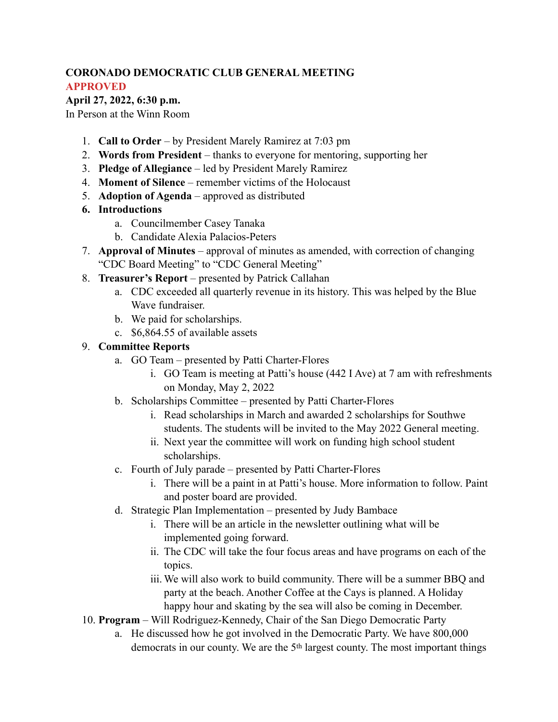### **CORONADO DEMOCRATIC CLUB GENERAL MEETING APPROVED**

### **April 27, 2022, 6:30 p.m.**

In Person at the Winn Room

- 1. **Call to Order** by President Marely Ramirez at 7:03 pm
- 2. **Words from President** thanks to everyone for mentoring, supporting her
- 3. **Pledge of Allegiance** led by President Marely Ramirez
- 4. **Moment of Silence** remember victims of the Holocaust
- 5. **Adoption of Agenda** approved as distributed
- **6. Introductions** 
	- a. Councilmember Casey Tanaka
	- b. Candidate Alexia Palacios-Peters
- 7. **Approval of Minutes** approval of minutes as amended, with correction of changing "CDC Board Meeting" to "CDC General Meeting"
- 8. **Treasurer's Report** presented by Patrick Callahan
	- a. CDC exceeded all quarterly revenue in its history. This was helped by the Blue Wave fundraiser.
	- b. We paid for scholarships.
	- c. \$6,864.55 of available assets

# 9. **Committee Reports**

- a. GO Team presented by Patti Charter-Flores
	- i. GO Team is meeting at Patti's house (442 I Ave) at 7 am with refreshments on Monday, May 2, 2022
- b. Scholarships Committee presented by Patti Charter-Flores
	- i. Read scholarships in March and awarded 2 scholarships for Southwe students. The students will be invited to the May 2022 General meeting.
	- ii. Next year the committee will work on funding high school student scholarships.
- c. Fourth of July parade presented by Patti Charter-Flores
	- i. There will be a paint in at Patti's house. More information to follow. Paint and poster board are provided.
- d. Strategic Plan Implementation presented by Judy Bambace
	- i. There will be an article in the newsletter outlining what will be implemented going forward.
	- ii. The CDC will take the four focus areas and have programs on each of the topics.
	- iii. We will also work to build community. There will be a summer BBQ and party at the beach. Another Coffee at the Cays is planned. A Holiday happy hour and skating by the sea will also be coming in December.
- 10. **Program** Will Rodriguez-Kennedy, Chair of the San Diego Democratic Party
	- a. He discussed how he got involved in the Democratic Party. We have 800,000 democrats in our county. We are the 5th largest county. The most important things